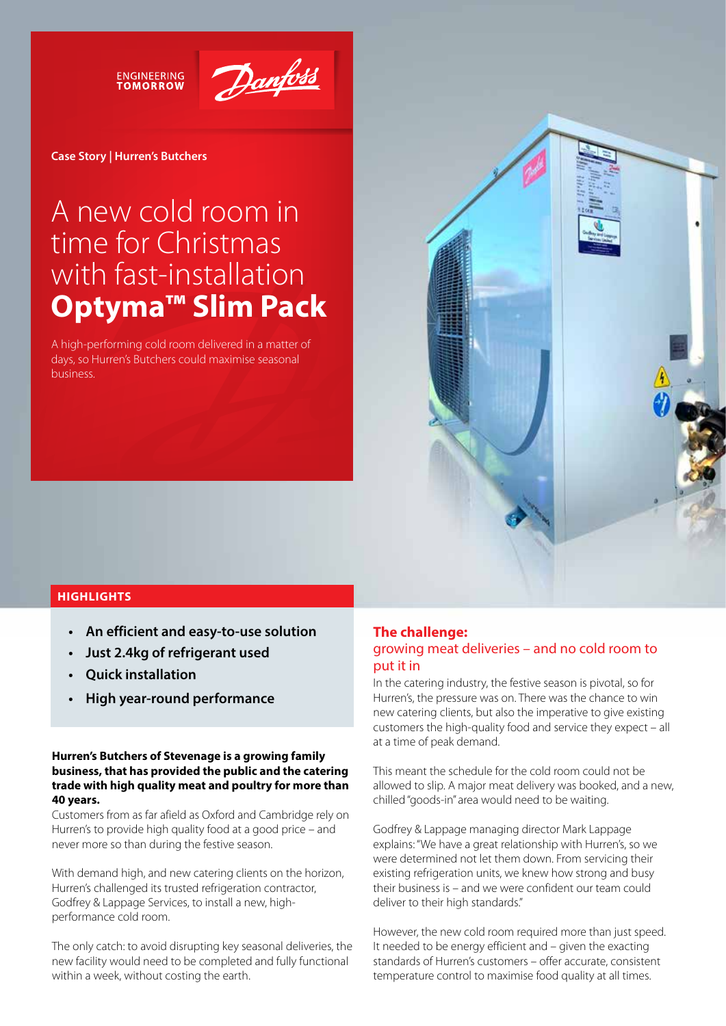**ENGINEERING**<br>TOMORROW



#### **Case Story | Hurren's Butchers**

# A new cold room in time for Christmas with fast-installation **Optyma™ Slim Pack**

A high-performing cold room delivered in a matter of days, so Hurren's Butchers could maximise seasonal business.



## **HIGHLIGHTS**

- An efficient and easy-to-use solution
- Just 2.4 kg of refrigerant used
- **Ouick installation**
- High year-round performance

### **Hurren's Butchers of Stevenage is a growing family business, that has provided the public and the catering trade with high quality meat and poultry for more than 40 years.**

Customers from as far afield as Oxford and Cambridge rely on Hurren's to provide high quality food at a good price – and never more so than during the festive season.

With demand high, and new catering clients on the horizon, Hurren's challenged its trusted refrigeration contractor, Godfrey & Lappage Services, to install a new, highperformance cold room.

The only catch: to avoid disrupting key seasonal deliveries, the new facility would need to be completed and fully functional within a week, without costing the earth.

# **The challenge:**  growing meat deliveries – and no cold room to put it in

In the catering industry, the festive season is pivotal, so for Hurren's, the pressure was on. There was the chance to win new catering clients, but also the imperative to give existing customers the high-quality food and service they expect – all at a time of peak demand.

This meant the schedule for the cold room could not be allowed to slip. A major meat delivery was booked, and a new, chilled "goods-in" area would need to be waiting.

Godfrey & Lappage managing director Mark Lappage explains: "We have a great relationship with Hurren's, so we were determined not let them down. From servicing their existing refrigeration units, we knew how strong and busy their business is – and we were confident our team could deliver to their high standards."

However, the new cold room required more than just speed. It needed to be energy efficient and – given the exacting standards of Hurren's customers – offer accurate, consistent temperature control to maximise food quality at all times.